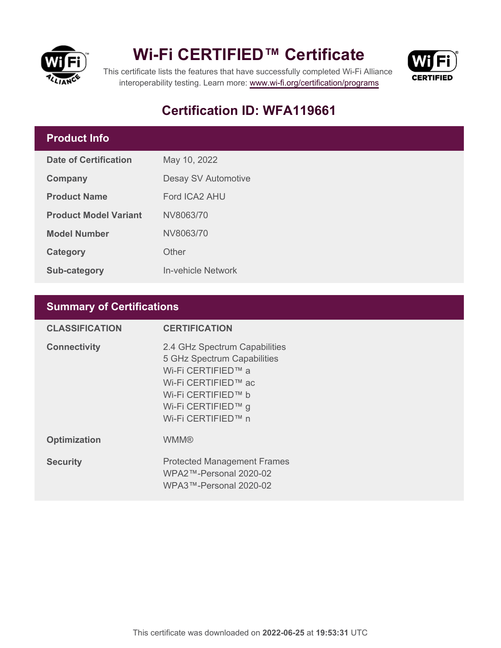

## **Wi-Fi CERTIFIED™ Certificate**



This certificate lists the features that have successfully completed Wi-Fi Alliance interoperability testing. Learn more:<www.wi-fi.org/certification/programs>

## **Certification ID: WFA119661**

### **Product Info**

| Date of Certification        | May 10, 2022               |  |
|------------------------------|----------------------------|--|
| <b>Company</b>               | <b>Desay SV Automotive</b> |  |
| <b>Product Name</b>          | Ford ICA2 AHU              |  |
| <b>Product Model Variant</b> | NV8063/70                  |  |
| <b>Model Number</b>          | NV8063/70                  |  |
| <b>Category</b>              | Other                      |  |
| <b>Sub-category</b>          | <b>In-vehicle Network</b>  |  |

### **Summary of Certifications**

| <b>CLASSIFICATION</b> | <b>CERTIFICATION</b>                                                                                                                                                        |
|-----------------------|-----------------------------------------------------------------------------------------------------------------------------------------------------------------------------|
| <b>Connectivity</b>   | 2.4 GHz Spectrum Capabilities<br>5 GHz Spectrum Capabilities<br>Wi-Fi CERTIFIED™ a<br>Wi-Fi CERTIFIED™ ac<br>Wi-Fi CERTIFIED™ b<br>Wi-Fi CERTIFIED™ g<br>Wi-Fi CERTIFIED™ n |
| <b>Optimization</b>   | <b>WMM®</b>                                                                                                                                                                 |
| <b>Security</b>       | <b>Protected Management Frames</b><br>$WPA2$ ™-Personal 2020-02<br>WPA3™-Personal 2020-02                                                                                   |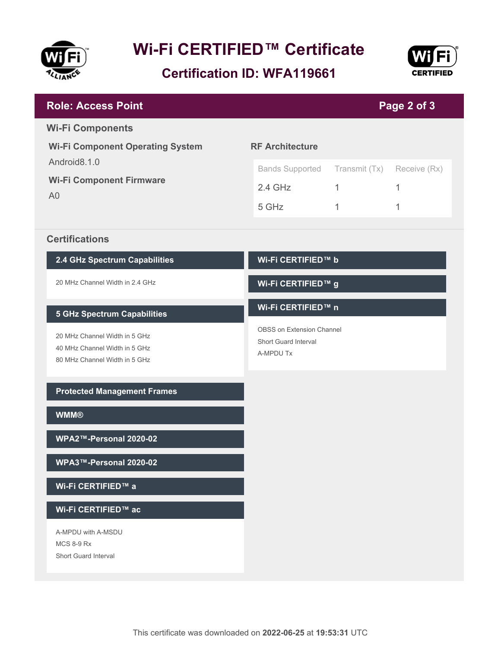

# **Wi-Fi CERTIFIED™ Certificate**

**Certification ID: WFA119661**



| <b>Role: Access Point</b><br>Page 2 of 3                                                        |                                                                |               |              |  |
|-------------------------------------------------------------------------------------------------|----------------------------------------------------------------|---------------|--------------|--|
| <b>Wi-Fi Components</b>                                                                         |                                                                |               |              |  |
| <b>Wi-Fi Component Operating System</b>                                                         | <b>RF Architecture</b>                                         |               |              |  |
| Android8.1.0                                                                                    | <b>Bands Supported</b>                                         | Transmit (Tx) | Receive (Rx) |  |
| <b>Wi-Fi Component Firmware</b>                                                                 | $2.4$ GHz                                                      | $\mathbf{1}$  | 1            |  |
| A <sub>0</sub>                                                                                  | 5 GHz                                                          | 1             | 1            |  |
| <b>Certifications</b>                                                                           |                                                                |               |              |  |
| 2.4 GHz Spectrum Capabilities                                                                   | Wi-Fi CERTIFIED™ b                                             |               |              |  |
| 20 MHz Channel Width in 2.4 GHz                                                                 | Wi-Fi CERTIFIED™ g                                             |               |              |  |
| <b>5 GHz Spectrum Capabilities</b>                                                              | Wi-Fi CERTIFIED™ n                                             |               |              |  |
| 20 MHz Channel Width in 5 GHz<br>40 MHz Channel Width in 5 GHz<br>80 MHz Channel Width in 5 GHz | OBSS on Extension Channel<br>Short Guard Interval<br>A-MPDU Tx |               |              |  |
| <b>Protected Management Frames</b>                                                              |                                                                |               |              |  |
| <b>WMM®</b>                                                                                     |                                                                |               |              |  |
| WPA2™-Personal 2020-02                                                                          |                                                                |               |              |  |
| WPA3™-Personal 2020-02                                                                          |                                                                |               |              |  |
| Wi-Fi CERTIFIED™ a                                                                              |                                                                |               |              |  |
| Wi-Fi CERTIFIED™ ac                                                                             |                                                                |               |              |  |
| A-MPDU with A-MSDU<br><b>MCS 8-9 Rx</b><br>Short Guard Interval                                 |                                                                |               |              |  |